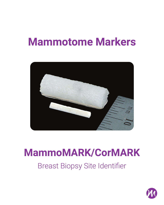# **Mammotome Markers**



## **MammoMARK/CorMARK**

Breast Biopsy Site Identifier

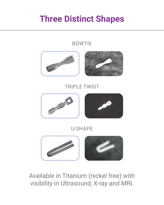#### **Three Distinct Shapes**



Available in Titanium (nickel free) with visibility in Ultrasound, X-ray and MRI.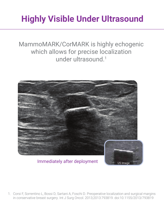#### **Highly Visible Under Ultrasound**

MammoMARK/CorMARK is highly echogenic which allows for precise localization under ultrasound.1



Immediately after deployment

1. Corsi F, Sorrentino L, Bossi D, Sartani A, Foschi D. Preoperative localization and surgical margins in conservative breast surgery. Int J Surg Oncol. 2013;2013:793819. doi:10.1155/2013/793819

US Image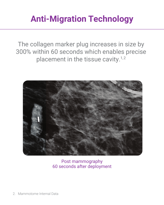#### **Anti-Migration Technology**

The collagen marker plug increases in size by 300% within 60 seconds which enables precise placement in the tissue cavity.<sup>1,2</sup>



Post mammography 60 seconds after deployment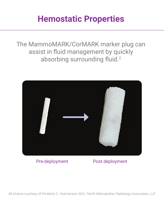#### **Hemostatic Properties**

The MammoMARK/CorMARK marker plug can assist in fluid management by quickly absorbing surrounding fluid.<sup>2</sup>



Pre-deployment Post deployment